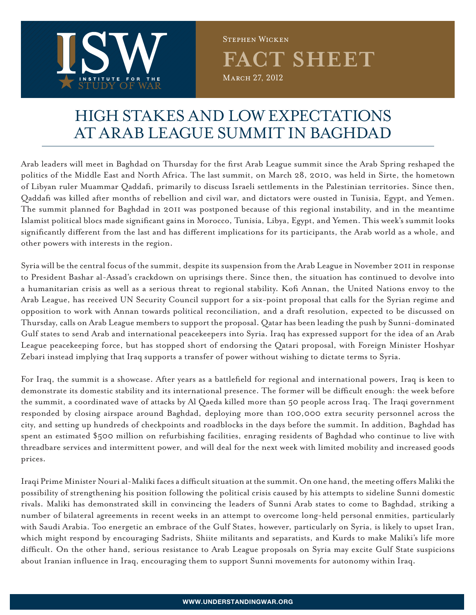

**fact sheet** March 27, 2012 Stephen Wicken

## HIGH STAKES and LOW EXPECTATIONS AT ARAB LEAGUE SUMMIT IN BAGHDAD

Arab leaders will meet in Baghdad on Thursday for the first Arab League summit since the Arab Spring reshaped the politics of the Middle East and North Africa. The last summit, on March 28, 2010, was held in Sirte, the hometown of Libyan ruler Muammar Qaddafi, primarily to discuss Israeli settlements in the Palestinian territories. Since then, Qaddafi was killed after months of rebellion and civil war, and dictators were ousted in Tunisia, Egypt, and Yemen. The summit planned for Baghdad in 2011 was postponed because of this regional instability, and in the meantime Islamist political blocs made significant gains in Morocco, Tunisia, Libya, Egypt, and Yemen. This week's summit looks significantly different from the last and has different implications for its participants, the Arab world as a whole, and other powers with interests in the region.

Syria will be the central focus of the summit, despite its suspension from the Arab League in November 2011 in response to President Bashar al-Assad's crackdown on uprisings there. Since then, the situation has continued to devolve into a humanitarian crisis as well as a serious threat to regional stability. Kofi Annan, the United Nations envoy to the Arab League, has received UN Security Council support for a six-point proposal that calls for the Syrian regime and opposition to work with Annan towards political reconciliation, and a draft resolution, expected to be discussed on Thursday, calls on Arab League members to support the proposal. Qatar has been leading the push by Sunni-dominated Gulf states to send Arab and international peacekeepers into Syria. Iraq has expressed support for the idea of an Arab League peacekeeping force, but has stopped short of endorsing the Qatari proposal, with Foreign Minister Hoshyar Zebari instead implying that Iraq supports a transfer of power without wishing to dictate terms to Syria.

For Iraq, the summit is a showcase. After years as a battlefield for regional and international powers, Iraq is keen to demonstrate its domestic stability and its international presence. The former will be difficult enough: the week before the summit, a coordinated wave of attacks by Al Qaeda killed more than 50 people across Iraq. The Iraqi government responded by closing airspace around Baghdad, deploying more than 100,000 extra security personnel across the city, and setting up hundreds of checkpoints and roadblocks in the days before the summit. In addition, Baghdad has spent an estimated \$500 million on refurbishing facilities, enraging residents of Baghdad who continue to live with threadbare services and intermittent power, and will deal for the next week with limited mobility and increased goods prices.

Iraqi Prime Minister Nouri al-Maliki faces a difficult situation at the summit. On one hand, the meeting offers Maliki the possibility of strengthening his position following the political crisis caused by his attempts to sideline Sunni domestic rivals. Maliki has demonstrated skill in convincing the leaders of Sunni Arab states to come to Baghdad, striking a number of bilateral agreements in recent weeks in an attempt to overcome long-held personal enmities, particularly with Saudi Arabia. Too energetic an embrace of the Gulf States, however, particularly on Syria, is likely to upset Iran, which might respond by encouraging Sadrists, Shiite militants and separatists, and Kurds to make Maliki's life more difficult. On the other hand, serious resistance to Arab League proposals on Syria may excite Gulf State suspicions about Iranian influence in Iraq, encouraging them to support Sunni movements for autonomy within Iraq.